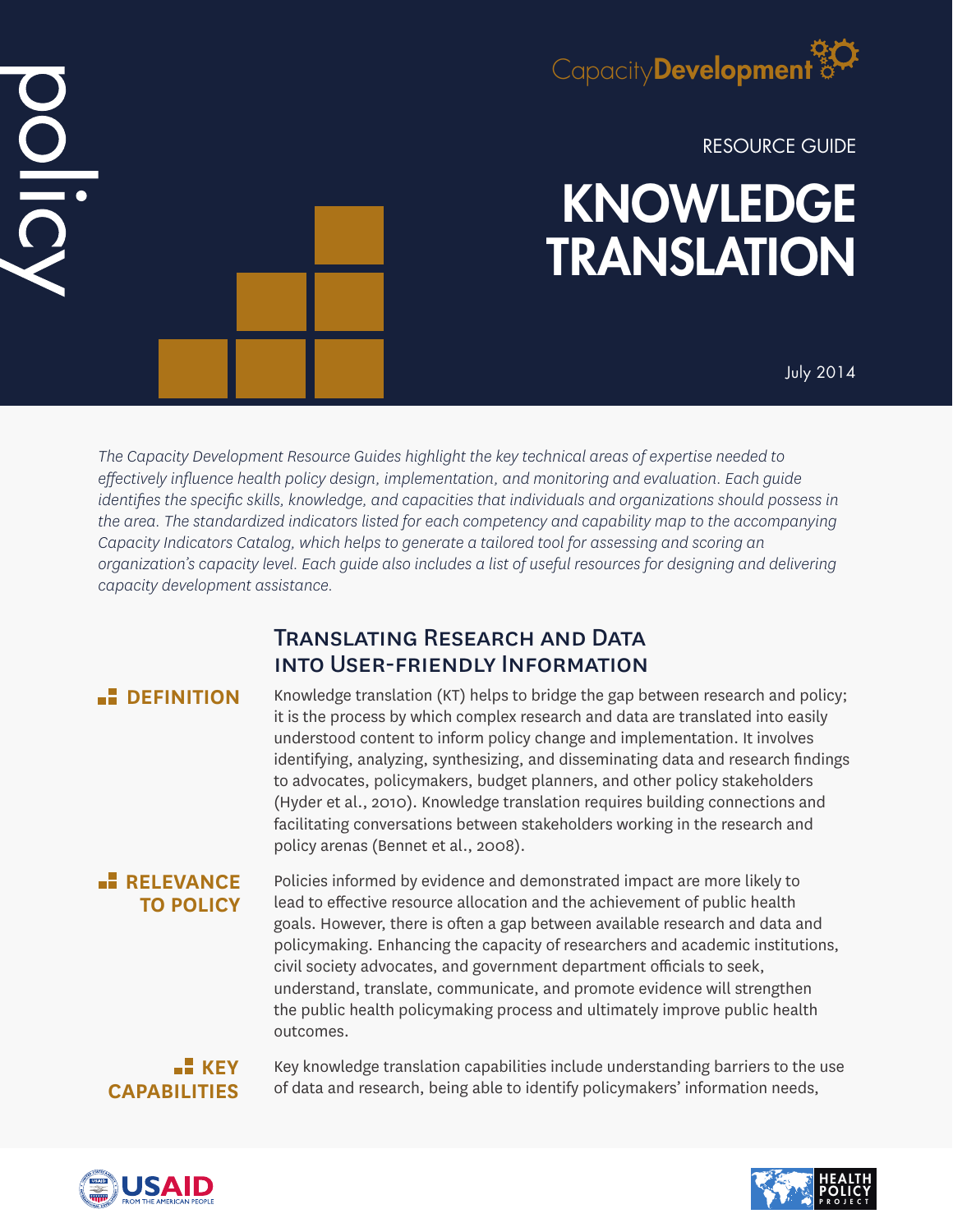

RESOURCE GUIDE

# KNOWLEDGE **TRANSLATION**

July 2014

*The Capacity Development Resource Guides highlight the key technical areas of expertise needed to effectively influence health policy design, implementation, and monitoring and evaluation. Each guide identifies the specific skills, knowledge, and capacities that individuals and organizations should possess in the area. The standardized indicators listed for each competency and capability map to the accompanying Capacity Indicators Catalog, which helps to generate a tailored tool for assessing and scoring an organization's capacity level. Each guide also includes a list of useful resources for designing and delivering capacity development assistance.*

# Translating Research and Data into User-friendly Information

 $\frac{1}{2}$ 

**DEFINITION** Knowledge translation (KT) helps to bridge the gap between research and policy; it is the process by which complex research and data are translated into easily understood content to inform policy change and implementation. It involves identifying, analyzing, synthesizing, and disseminating data and research findings to advocates, policymakers, budget planners, and other policy stakeholders (Hyder et al., 2010). Knowledge translation requires building connections and facilitating conversations between stakeholders working in the research and policy arenas (Bennet et al., 2008).

# **RELEVANCE TO POLICY**

Policies informed by evidence and demonstrated impact are more likely to lead to effective resource allocation and the achievement of public health goals. However, there is often a gap between available research and data and policymaking. Enhancing the capacity of researchers and academic institutions, civil society advocates, and government department officials to seek, understand, translate, communicate, and promote evidence will strengthen the public health policymaking process and ultimately improve public health outcomes.

## **KEY CAPABILITIES**

Key knowledge translation capabilities include understanding barriers to the use of data and research, being able to identify policymakers' information needs,



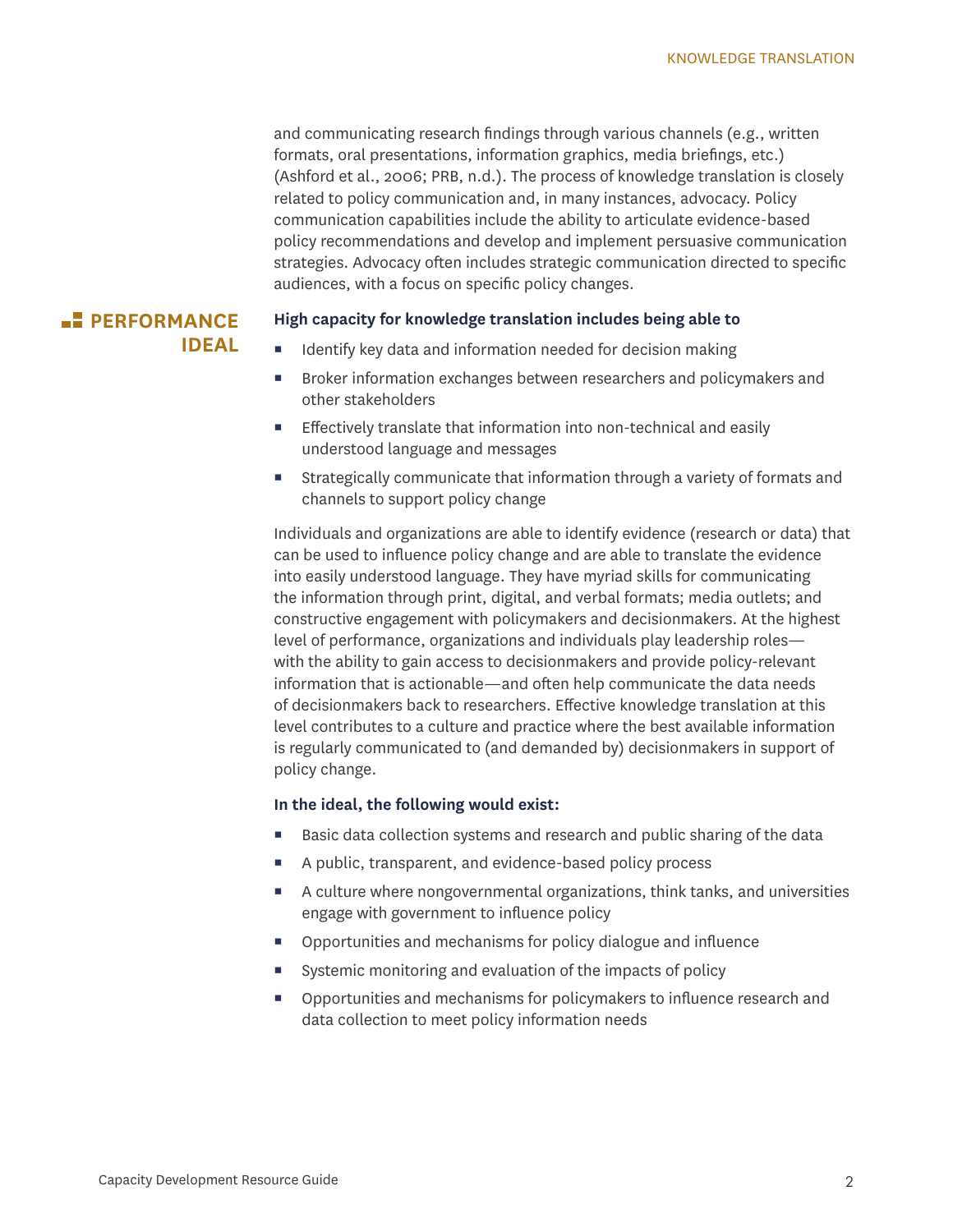and communicating research findings through various channels (e.g., written formats, oral presentations, information graphics, media briefings, etc.) (Ashford et al., 2006; PRB, n.d.). The process of knowledge translation is closely related to policy communication and, in many instances, advocacy. Policy communication capabilities include the ability to articulate evidence-based policy recommendations and develop and implement persuasive communication strategies. Advocacy often includes strategic communication directed to specific audiences, with a focus on specific policy changes.

#### **PERFORMANCE IDEAL**

#### **High capacity for knowledge translation includes being able to**

- Identify key data and information needed for decision making
- **Broker information exchanges between researchers and policymakers and** other stakeholders
- Effectively translate that information into non-technical and easily understood language and messages
- Strategically communicate that information through a variety of formats and channels to support policy change

Individuals and organizations are able to identify evidence (research or data) that can be used to influence policy change and are able to translate the evidence into easily understood language. They have myriad skills for communicating the information through print, digital, and verbal formats; media outlets; and constructive engagement with policymakers and decisionmakers. At the highest level of performance, organizations and individuals play leadership roles with the ability to gain access to decisionmakers and provide policy-relevant information that is actionable—and often help communicate the data needs of decisionmakers back to researchers. Effective knowledge translation at this level contributes to a culture and practice where the best available information is regularly communicated to (and demanded by) decisionmakers in support of policy change.

#### **In the ideal, the following would exist:**

- Basic data collection systems and research and public sharing of the data
- A public, transparent, and evidence-based policy process
- A culture where nongovernmental organizations, think tanks, and universities engage with government to influence policy
- Opportunities and mechanisms for policy dialogue and influence
- Systemic monitoring and evaluation of the impacts of policy
- Opportunities and mechanisms for policymakers to influence research and data collection to meet policy information needs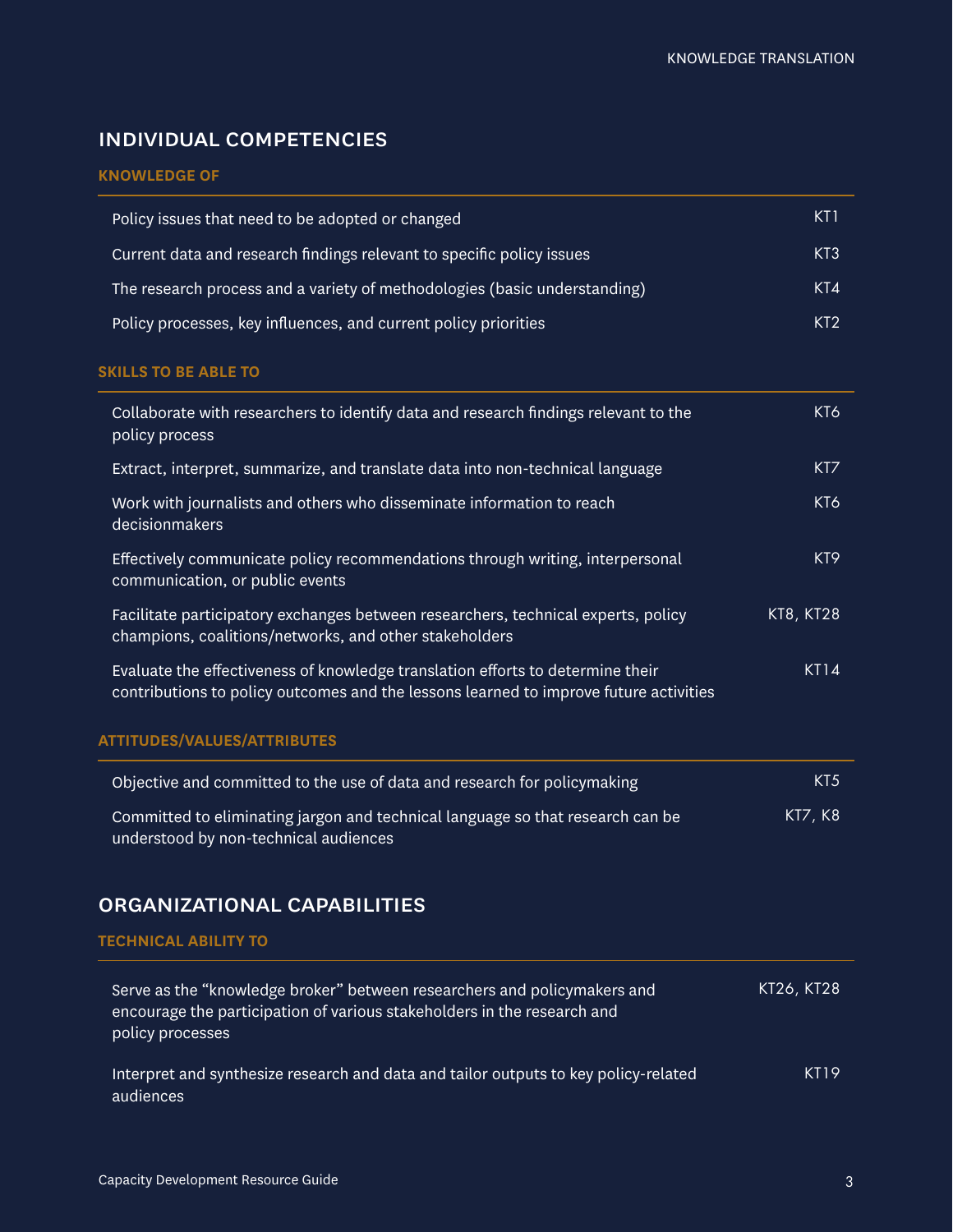# individual competencies

### **KNOWLEDGE OF**

| Policy issues that need to be adopted or changed                          | KT1             |
|---------------------------------------------------------------------------|-----------------|
| Current data and research findings relevant to specific policy issues     | KT3             |
| The research process and a variety of methodologies (basic understanding) | KT4             |
| Policy processes, key influences, and current policy priorities           | KT <sub>2</sub> |

#### **SKILLS TO BE ABLE TO**

| Collaborate with researchers to identify data and research findings relevant to the<br>policy process                                                                   | KT6             |
|-------------------------------------------------------------------------------------------------------------------------------------------------------------------------|-----------------|
| Extract, interpret, summarize, and translate data into non-technical language                                                                                           | K <sub>T</sub>  |
| Work with journalists and others who disseminate information to reach<br>decisionmakers                                                                                 | KT6             |
| Effectively communicate policy recommendations through writing, interpersonal<br>communication, or public events                                                        | KT <sub>9</sub> |
| Facilitate participatory exchanges between researchers, technical experts, policy<br>champions, coalitions/networks, and other stakeholders                             | KT8, KT28       |
| Evaluate the effectiveness of knowledge translation efforts to determine their<br>contributions to policy outcomes and the lessons learned to improve future activities | <b>KT14</b>     |
| <b>ATTITUDES/VALUES/ATTRIBUTES</b>                                                                                                                                      |                 |

| Objective and committed to the use of data and research for policymaking                   | KT <sub>5</sub> |
|--------------------------------------------------------------------------------------------|-----------------|
| . Committed to eliminating jargon and technical language so that research can be $^\prime$ | KT7, K8         |
| understood by non-technical audiences                                                      |                 |

# organizational capabilities

#### **TECHNICAL ABILITY TO**

| Serve as the "knowledge broker" between researchers and policymakers and<br>encourage the participation of various stakeholders in the research and<br>policy processes | KT26, KT28 |
|-------------------------------------------------------------------------------------------------------------------------------------------------------------------------|------------|
| Interpret and synthesize research and data and tailor outputs to key policy-related<br>audiences                                                                        | KT19       |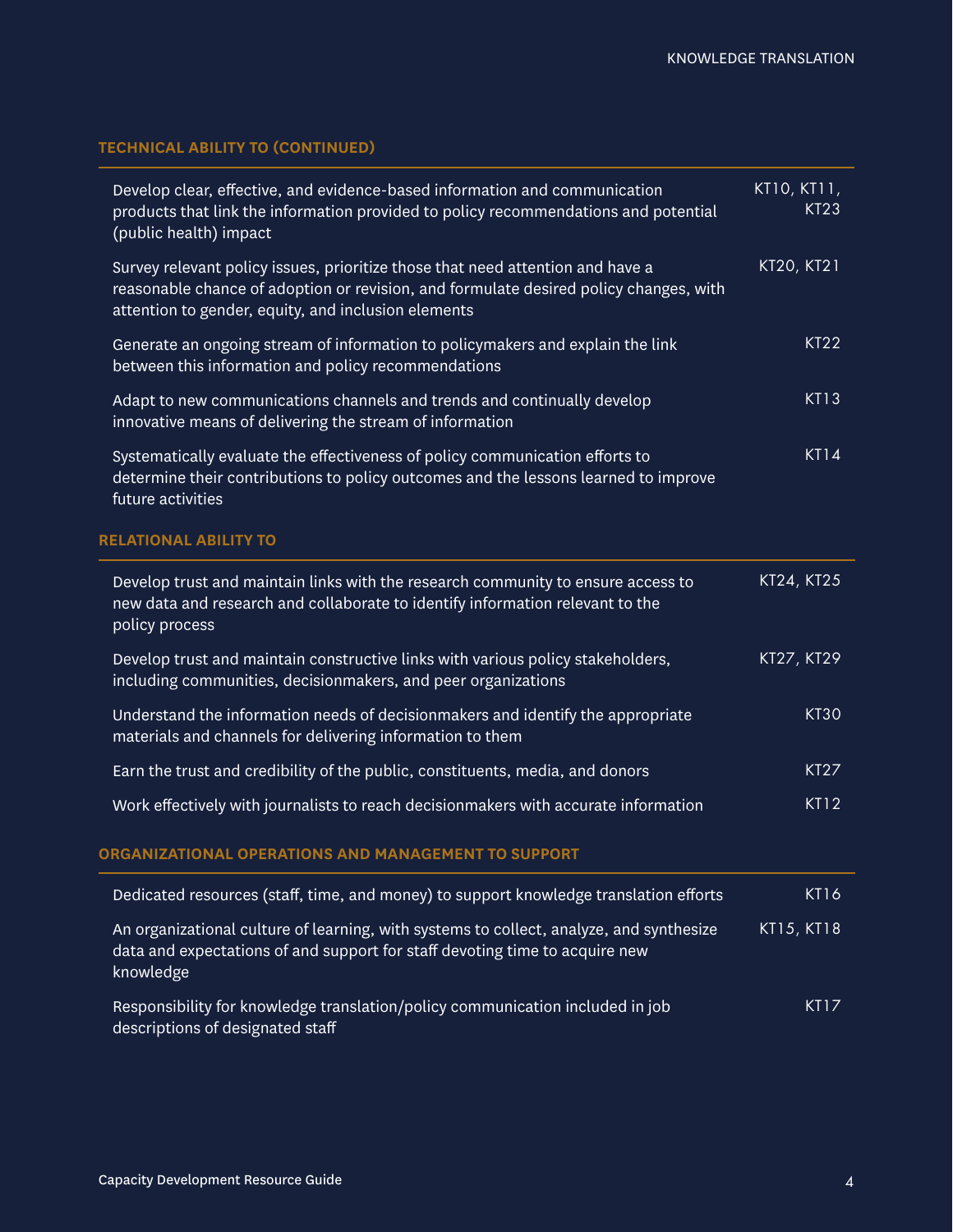## **TECHNICAL ABILITY TO (CONTINUED)**

| Develop clear, effective, and evidence-based information and communication<br>products that link the information provided to policy recommendations and potential<br>(public health) impact                                    | KT10, KT11,<br><b>KT23</b> |
|--------------------------------------------------------------------------------------------------------------------------------------------------------------------------------------------------------------------------------|----------------------------|
| Survey relevant policy issues, prioritize those that need attention and have a<br>reasonable chance of adoption or revision, and formulate desired policy changes, with<br>attention to gender, equity, and inclusion elements | KT20, KT21                 |
| Generate an ongoing stream of information to policymakers and explain the link<br>between this information and policy recommendations                                                                                          | <b>KT22</b>                |
| Adapt to new communications channels and trends and continually develop<br>innovative means of delivering the stream of information                                                                                            | <b>KT13</b>                |
| Systematically evaluate the effectiveness of policy communication efforts to<br>determine their contributions to policy outcomes and the lessons learned to improve<br>future activities                                       | <b>KT14</b>                |
| <b>RELATIONAL ABILITY TO</b>                                                                                                                                                                                                   |                            |
| Develop trust and maintain links with the research community to ensure access to<br>new data and research and collaborate to identify information relevant to the<br>policy process                                            | KT24, KT25                 |
| Develop trust and maintain constructive links with various policy stakeholders,<br>including communities, decisionmakers, and peer organizations                                                                               | KT27, KT29                 |
| Understand the information needs of decisionmakers and identify the appropriate<br>materials and channels for delivering information to them                                                                                   | <b>KT30</b>                |
| Earn the trust and credibility of the public, constituents, media, and donors                                                                                                                                                  | <b>KT27</b>                |
| Work effectively with journalists to reach decisionmakers with accurate information                                                                                                                                            | <b>KT12</b>                |
| ORGANIZATIONAL OPERATIONS AND MANAGEMENT TO SUPPORT                                                                                                                                                                            |                            |
| Dedicated resources (staff, time, and money) to support knowledge translation efforts                                                                                                                                          | <b>KT16</b>                |
| An organizational culture of learning, with systems to collect, analyze, and synthesize<br>data and expectations of and support for staff devoting time to acquire new<br>knowledge                                            | KT15, KT18                 |
| Responsibility for knowledge translation/policy communication included in job<br>descriptions of designated staff                                                                                                              | <b>KT17</b>                |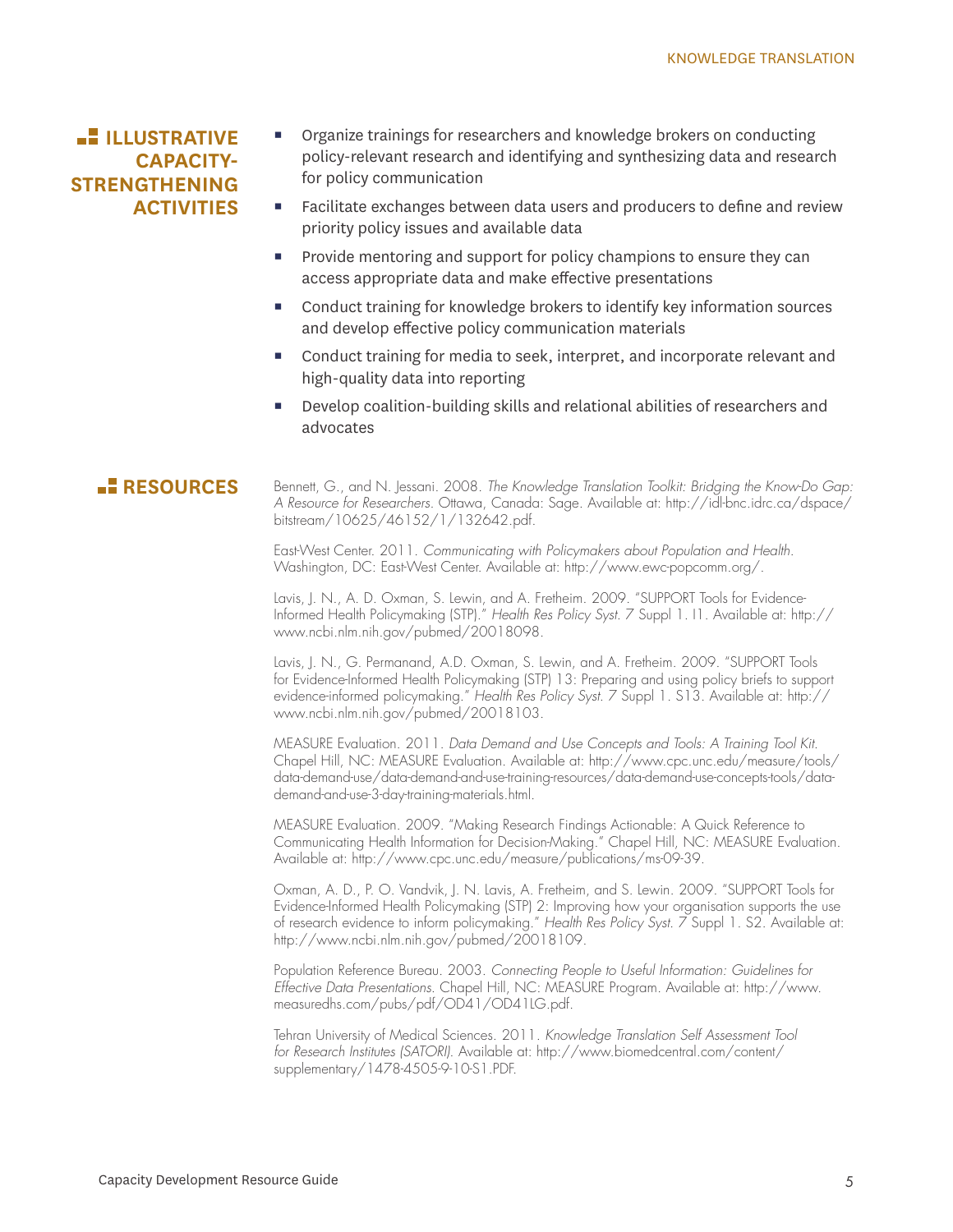# **ILLUSTRATIVE CAPACITY-STRENGTHENING ACTIVITIES**

- Organize trainings for researchers and knowledge brokers on conducting policy-relevant research and identifying and synthesizing data and research for policy communication
- Facilitate exchanges between data users and producers to define and review priority policy issues and available data
- **Provide mentoring and support for policy champions to ensure they can** access appropriate data and make effective presentations
- Conduct training for knowledge brokers to identify key information sources and develop effective policy communication materials
- Conduct training for media to seek, interpret, and incorporate relevant and high-quality data into reporting
- Develop coalition-building skills and relational abilities of researchers and advocates

**RESOURCES** Bennett, G., and N. Jessani. 2008. *The Knowledge Translation Toolkit: Bridging the Know-Do Gap: A Resource for Researchers.* Ottawa, Canada: Sage. Available at: http://idl-bnc.idrc.ca/dspace/ bitstream/10625/46152/1/132642.pdf.

> East-West Center. 2011. *Communicating with Policymakers about Population and Health.*  Washington, DC: East-West Center. Available at: http://www.ewc-popcomm.org/.

Lavis, J. N., A. D. Oxman, S. Lewin, and A. Fretheim. 2009. "SUPPORT Tools for Evidence-Informed Health Policymaking (STP)." *Health Res Policy Syst*. 7 Suppl 1. I1. Available at: http:// www.ncbi.nlm.nih.gov/pubmed/20018098.

Lavis, J. N., G. Permanand, A.D. Oxman, S. Lewin, and A. Fretheim. 2009. "SUPPORT Tools for Evidence-Informed Health Policymaking (STP) 13: Preparing and using policy briefs to support evidence-informed policymaking." *Health Res Policy Syst*. 7 Suppl 1. S13. Available at: http:// www.ncbi.nlm.nih.gov/pubmed/20018103.

MEASURE Evaluation. 2011. *Data Demand and Use Concepts and Tools: A Training Tool Kit*. Chapel Hill, NC: MEASURE Evaluation. Available at: http://www.cpc.unc.edu/measure/tools/ data-demand-use/data-demand-and-use-training-resources/data-demand-use-concepts-tools/datademand-and-use-3-day-training-materials.html.

MEASURE Evaluation. 2009. "Making Research Findings Actionable: A Quick Reference to Communicating Health Information for Decision-Making." Chapel Hill, NC: MEASURE Evaluation. Available at: http://www.cpc.unc.edu/measure/publications/ms-09-39.

Oxman, A. D., P. O. Vandvik, J. N. Lavis, A. Fretheim, and S. Lewin. 2009. "SUPPORT Tools for Evidence-Informed Health Policymaking (STP) 2: Improving how your organisation supports the use of research evidence to inform policymaking." *Health Res Policy Syst*. 7 Suppl 1. S2. Available at: http://www.ncbi.nlm.nih.gov/pubmed/20018109.

Population Reference Bureau. 2003. *Connecting People to Useful Information: Guidelines for Effective Data Presentations*. Chapel Hill, NC: MEASURE Program. Available at: http://www. measuredhs.com/pubs/pdf/OD41/OD41LG.pdf.

Tehran University of Medical Sciences. 2011. *Knowledge Translation Self Assessment Tool for Research Institutes (SATORI)*. Available at: http://www.biomedcentral.com/content/ supplementary/1478-4505-9-10-S1.PDF.